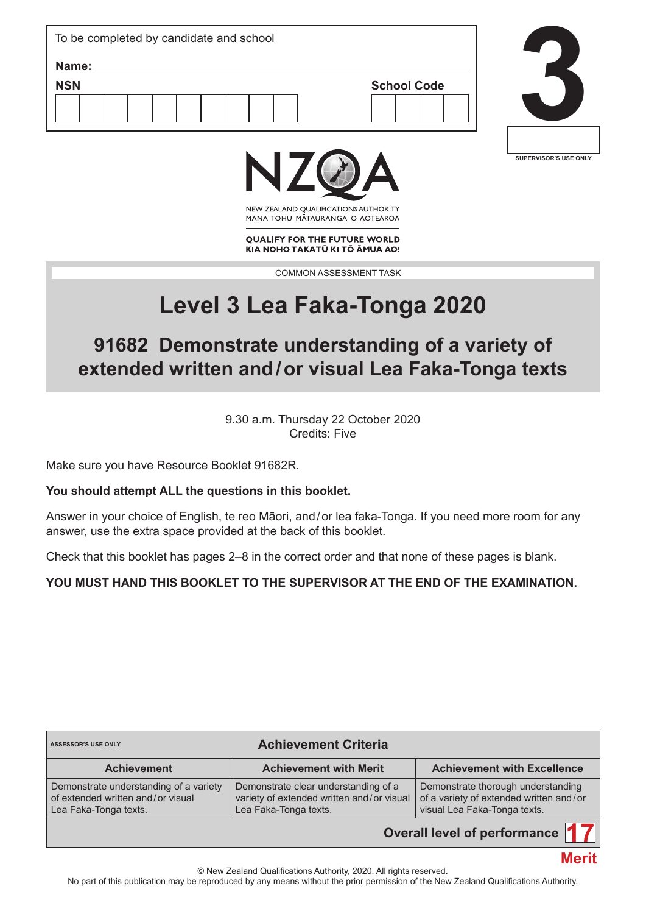| To be completed by candidate and school   |  |
|-------------------------------------------|--|
| Name:<br><b>NSN</b><br><b>School Code</b> |  |
|                                           |  |



**Merit**



NEW ZEALAND OUALIFICATIONS AUTHORITY MANA TOHU MATAURANGA O AOTEAROA

**QUALIFY FOR THE FUTURE WORLD** KIA NOHO TAKATŪ KI TŌ ĀMUA AO!

COMMON ASSESSMENT TASK

# **Level 3 Lea Faka-Tonga 2020**

# **91682 Demonstrate understanding of a variety of extended written and/or visual Lea Faka-Tonga texts**

9.30 a.m. Thursday 22 October 2020 Credits: Five

Make sure you have Resource Booklet 91682R.

### **You should attempt ALL the questions in this booklet.**

Answer in your choice of English, te reo Māori, and/or lea faka-Tonga. If you need more room for any answer, use the extra space provided at the back of this booklet.

Check that this booklet has pages 2–8 in the correct order and that none of these pages is blank.

### **YOU MUST HAND THIS BOOKLET TO THE SUPERVISOR AT THE END OF THE EXAMINATION.**

| <b>Achievement Criteria</b><br><b>ASSESSOR'S USE ONLY</b>                                            |                                                                                                            |                                                                                                               |  |  |  |  |  |
|------------------------------------------------------------------------------------------------------|------------------------------------------------------------------------------------------------------------|---------------------------------------------------------------------------------------------------------------|--|--|--|--|--|
| <b>Achievement</b>                                                                                   | <b>Achievement with Merit</b>                                                                              | <b>Achievement with Excellence</b>                                                                            |  |  |  |  |  |
| Demonstrate understanding of a variety<br>of extended written and/or visual<br>Lea Faka-Tonga texts. | Demonstrate clear understanding of a<br>variety of extended written and/or visual<br>Lea Faka-Tonga texts. | Demonstrate thorough understanding<br>of a variety of extended written and/or<br>visual Lea Faka-Tonga texts. |  |  |  |  |  |
| Overall level of performance                                                                         |                                                                                                            |                                                                                                               |  |  |  |  |  |

© New Zealand Qualifications Authority, 2020. All rights reserved.

No part of this publication may be reproduced by any means without the prior permission of the New Zealand Qualifications Authority.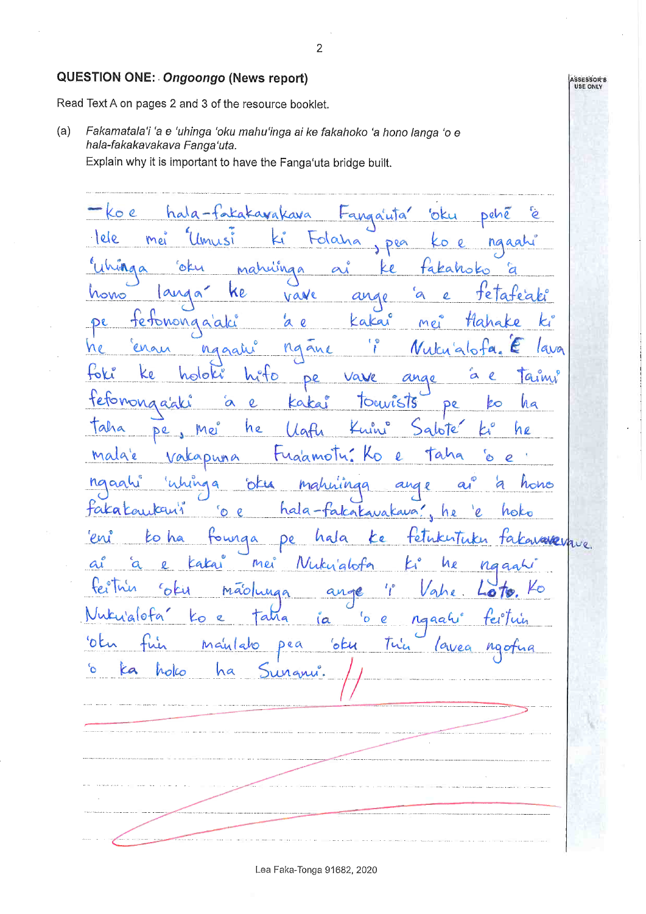#### **QUESTION ONE: Ongoongo (News report)**

Read Text A on pages 2 and 3 of the resource booklet.

 $(a)$ Fakamatala'i 'a e 'uhinga 'oku mahu'inga ai ke fakahoko 'a hono langa 'o e hala-fakakavakava Fanga'uta.

 $\overline{2}$ 

Explain why it is important to have the Fanga'uta bridge built.

ko e hala-fakakavakava pehé 'e 'oku tanga'uta lele Mei tolaha Imisi  $\mathbf{Q}$  $\overline{O}$ ngaah Dea  $66$ Wingo mahuinga takahoko  $\overline{c}$ land ke a te" homo  $\Omega$ vave an kakai tetononga'aki ά  $\overline{\mathcal{Q}}$ Mei ane en ggah na lava M toki holoki eto, Vave ā  $\ell$ h  $1$ aimi De etomonaggli  $\alpha$  $\overline{c}$ Touvists Kaka ko ha pe Taha he abite he De Mei  $\lambda$   $\alpha$ malge Taha tugamolu  $\overline{\mathbf{c}}$  $\sqrt{a}$ Duna  $\bullet$  $\overline{e}$ haga oku ange hono rahninga  $\overline{a}$ Faka Kaukan hala-်စ  $\mathbf{\varrho}$ takakavakava n e ho avadevave. 'en ÈΘ ha De owiga hala le ò mei Nuku<sup>'</sup>alot<sup>i</sup>n à Иe  $na$ tei maolunga ah  $\bullet$ a  $a$ lofa atra  $\sigma$  $\mathcal{C}$ ngaah ťe  $(a)$ 'otu 'oku pea  $M$ a'ul hО  $1$ u'e  $\overline{a}$ °ა ka holco Man

Lea Faka-Tonga 91682, 2020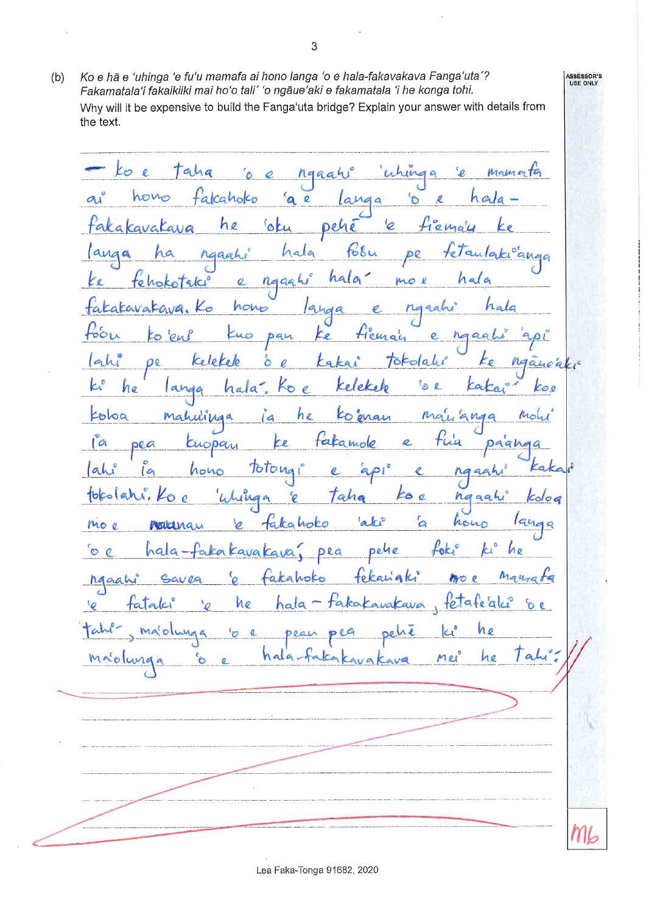Ko e hã e 'uhinga 'e fu'u mamafa ai hono langa 'o e hala-fakavakava Fanga'uta'?  $(b)$ Fakamatala'i fakaikiiki mai ho'o tali' 'o ngaue'aki e fakamatala 'i he konga tohi. Why will it be expensive to build the Fanga'uta bridge? Explain your answer with details from the text.

taha ko e whinga  $\mathbf{Q}^2$ mamata  $\mathcal{L}$  $\overline{a}$ ngaah falcaholco hono a e 'ဝ' ø heda  $\alpha$ 'oku he fiemal takakavakaya 'e Deh  $168u$ hala Maah DQ  $\bullet$ hala hala tehok ngaghi  $m$ o l  $\overline{a}$ takakavatava. halg hono  $\mathcal{L}_{\mathcal{D}}$ langa  $F_{\rm tot}$ fiemain to 'en pan Ke haaa  $\mathcal{P}$ Kelekek Totolahi ahi စ် takai la Kelekelo  $\mathcal{L}^{\circ}$ he hala. Koe <sup>0</sup> e Ka langa ko e Koloa mahuling he to eran Ma Mo ia fakamole  $(a$ pea Euopay ŁР Daghe  $[ah]$ **Jotonai** hono  $10$  $\overline{c}$ tokolari.  $k$ oe Taha Whinga E ha aah alci  $\mathcal{L}_{\alpha}$ hono lqı takahoko mo e naturay  $\overline{a}$  $H$ he aka Kava Kava pehe  $\infty$  e hala pea tekanaki Manzata r<br>Q hgaahi aka fetafeaki he tataki hala takakavakava  $6e$ 10 he oluma  $\mathcal{P}'$  $\mathbf{c}$ peal Tah he hala mei

Lea Faka-Tonga 91682, 2020

**ASSESSOR'S**<br>USE ONLY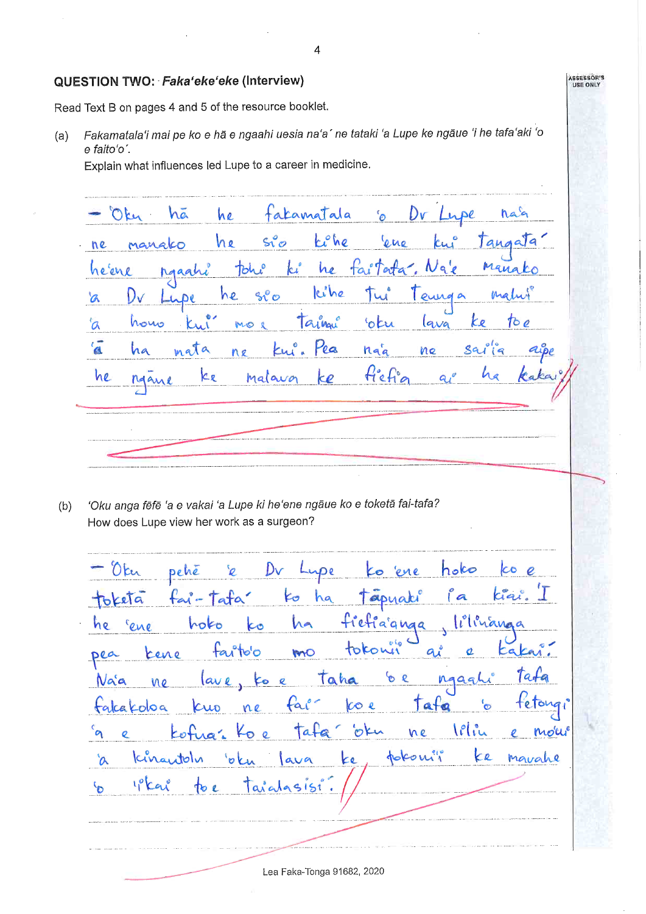#### QUESTION TWO: Faka'eke'eke (Interview)

Read Text B on pages 4 and 5 of the resource booklet.

Fakamatala'i mai pe ko e hā e ngaahi uesia na'a' ne tataki 'a Lupe ke ngāue 'i he tafa'aki 'o  $(a)$ e faito'o'.

Explain what influences led Lupe to a career in medicine.

facamatala Oky hã he Dr Lupe hag  $\mathcal{L}_{\Omega}$ tiche  $s^o_0$ he ene Jane Manako ne Man ki he tai Terta  $\mathcal{N}$ c'ene toh kihe  $50^{\circ}$ he tain hous 'otu lava  $\alpha$ **IM ICT**  $\alpha$ la Sa ha nat a ha ne ku ne he malavor Kr ke Man

'Oku anga fēfē 'a e vakai 'a Lupe ki he'ene ngāue ko e toketā fai-tafa?  $(b)$ How does Lupe view her work as a surgeon?

Dv Oku hoko co pehé  $\overline{O}$ pe 'ene fai  $k_{\sigma}$ toketa ha apyaki  $\overline{a}$ fief ia'anga hoko Lo he cene tokou  $f\alpha$ ito'o MO pea  $\overline{a}$  $\overline{a}$ kene taha 6 R 10 lave ngag Naa ko e  $00$  $fa$  $\cos$ Tata te falcakoloa 20 letin oku mori tata ne Kingitoly pokoni  $\epsilon$ e Marrahe  $\alpha$ **ko**  $7110$  $\mathcal{P}$ 5151 to e  $\int a \cdot a$ 

 $\overline{4}$ 

ASSESSOR'S<br>USE ONLY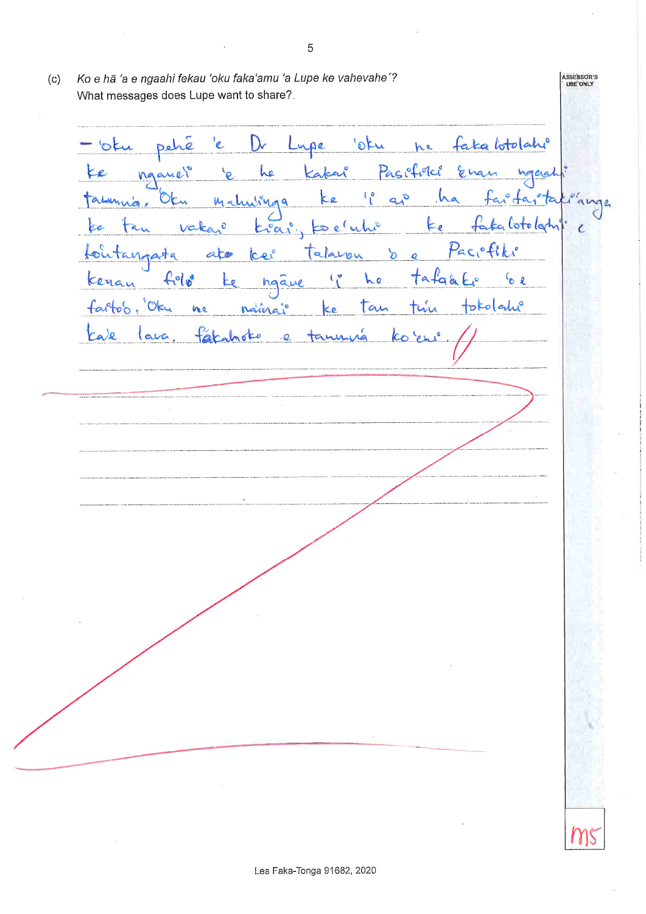Ko e hā 'a e ngaahi fekau 'oku faka'amu 'a Lupe ke vahevahe'? ASSESSOR'S<br>USE ONLY  $(c)$ What messages does Lupe want to share?. Lupe otu he faka botolahi <sup>t</sup>e  $D_{r}$ pehe 'otu Pasifield Kakai nganer he Ena  $a<sup>o</sup>$ <u>ha</u> OF a. **W**  $\lambda \lambda$   $\lambda^0$ *M*  $\int_{\mathbf{C}}$ Ke Cotologh vaka  $\ddot{\text{o}}$  $\frac{1}{2}$  $\epsilon$ es °a Paciefiki  $\delta$ norata ato  $\mathcal{O}$  $\alpha$  $f_1°10°$  $a + a$ he  $\epsilon_{\mathsf{o}}$  e Keran hgave Łо farto's, Oku tokolatu ne naing  $au$ tale lava. facanoto tanu  $\overline{Q}$ 

Lea Faka-Tonga 91682, 2020

5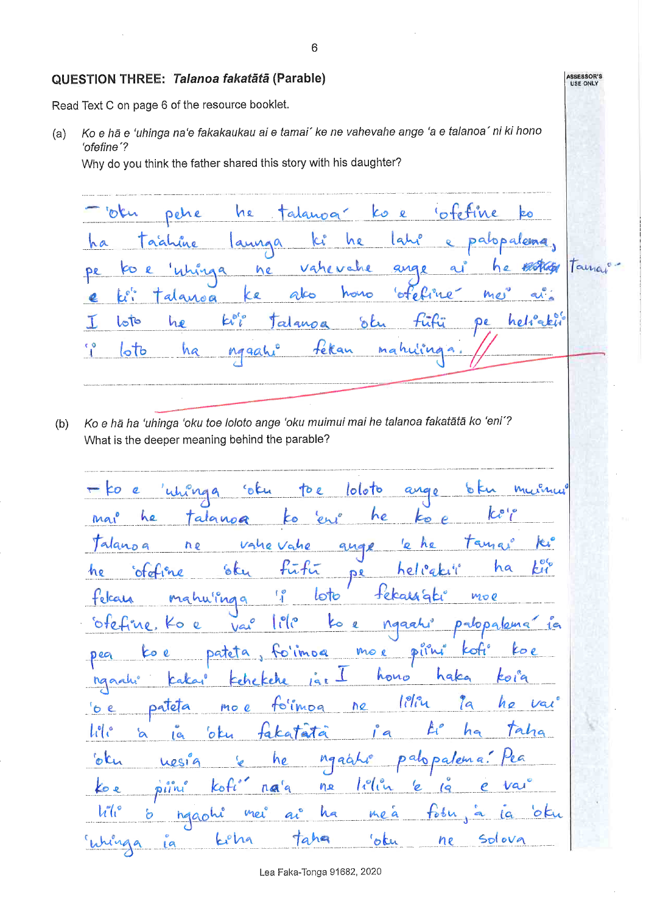#### QUESTION THREE: Talanoa fakatātā (Parable)

Read Text C on page 6 of the resource booklet.

Ko e hā e 'uhinga na'e fakakaukau ai e tamai' ke ne vahevahe ange 'a e talanoa' ni ki hono  $(a)$ 'ofefine'?

Why do you think the father shared this story with his daughter?

'ofefine oku pehe he  $\mathcal{L}$  $\mathbf{Q}$ alguna  $a$ palopalena he  $\alpha$ annga a Taina che ne cь ke hono  $m$ o alanoa  $k_i^{\sigma}$ J.  $lo$ to he helia 'otu algupa റം tekan loto ha mg ma  $|4a|$ 

Ko e hā ha 'uhinga 'oku toe loloto ange 'oku muimui mai he talanoa fakatātā ko 'eni'?  $(b)$ What is the deeper meaning behind the parable?

 $lolo$ to P K arg TO e Ľо  $\mathcal{C}^{\circ}$ he he talanog  $\mathbf{M}\mathbf{a}$ kο vahe K, Talanog ne ange  $\mathbf{z}$ ha oteline Ek  $\mathbf e$  $\mathcal{U}$ **DR**  $\frac{1}{2}$  $lo$ to moe hu'inga teke telcan ု $| \mathcal{C} |$ Vai  $\overline{a}$ dopalema  $^{\circ}$ Ko  $-i^n$  $\mathbf{o}$ pateta folimoa mo e  $P11n$  $\mathbf{Q}$ Deg Co hono hako ko i nggahi  $1$ iliy hø to'imog ne la pateta  $\circ$  e mo e  $A^{\epsilon}$  $\mathcal{U}^{\circ}$ fakatata ha  $\overline{a}$ ok  $1<sub>c</sub>$ 'oku  $Mq$ he aat uesig  $na'a$ lih Koti  $n_{\mathcal{A}}$ ల ల piin  $h^{\circ} h^{\circ}$ Ъ mei  $a^{\circ}$ ha  $o$ ku hgaohi keha  $66$ Solova taha ne chin La

6

ASSESSOR'S<br>USE ONLY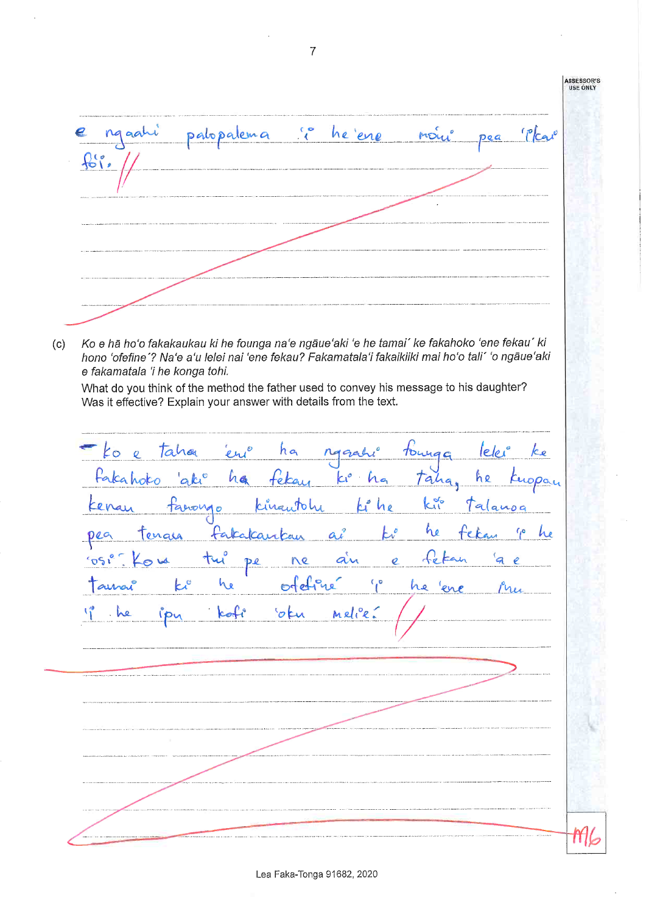

 $(c)$ Ko e hā ho'o fakakaukau ki he founga na'e ngāue'aki 'e he tamai' ke fakahoko 'ene fekau' ki hono 'ofefine'? Na'e a'u lelei nai 'ene fekau? Fakamatala'i fakaikiiki mai ho'o tali' 'o ngāue'aki e fakamatala 'i he konga tohi.

What do you think of the method the father used to convey his message to his daughter? Was it effective? Explain your answer with details from the text.

erio ha leler taha tounga  $ko$  e ragal ke Fakahoko  $abc^{\circ}$ ha feka he Taha. Day  $k^{\alpha}$ farongo kingutohi فما Kenay he alanog ho fa Calcar enale  $a<sub>i</sub>$ w De Ó  $\overline{Q}$ ofeline  $a^{\circ}$ he  $21100$ he 'o t Meli ff I (

 $\overline{7}$